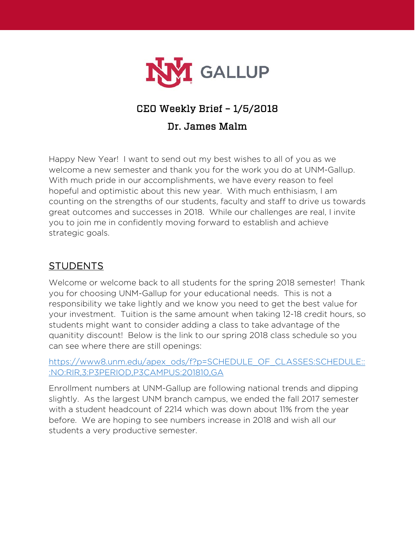

## CEO Weekly Brief – 1/5/2018

## Dr. James Malm

Happy New Year! I want to send out my best wishes to all of you as we welcome a new semester and thank you for the work you do at UNM-Gallup. With much pride in our accomplishments, we have every reason to feel hopeful and optimistic about this new year. With much enthisiasm, I am counting on the strengths of our students, faculty and staff to drive us towards great outcomes and successes in 2018. While our challenges are real, I invite you to join me in confidently moving forward to establish and achieve strategic goals.

## **STUDENTS**

Welcome or welcome back to all students for the spring 2018 semester! Thank you for choosing UNM-Gallup for your educational needs. This is not a responsibility we take lightly and we know you need to get the best value for your investment. Tuition is the same amount when taking 12-18 credit hours, so students might want to consider adding a class to take advantage of the quanitity discount! Below is the link to our spring 2018 class schedule so you can see where there are still openings:

[https://www8.unm.edu/apex\\_ods/f?p=SCHEDULE\\_OF\\_CLASSES:SCHEDULE::](https://www8.unm.edu/apex_ods/f?p=SCHEDULE_OF_CLASSES:SCHEDULE:::NO:RIR,3:P3PERIOD,P3CAMPUS:201810,GA) [:NO:RIR,3:P3PERIOD,P3CAMPUS:201810,GA](https://www8.unm.edu/apex_ods/f?p=SCHEDULE_OF_CLASSES:SCHEDULE:::NO:RIR,3:P3PERIOD,P3CAMPUS:201810,GA)

Enrollment numbers at UNM-Gallup are following national trends and dipping slightly. As the largest UNM branch campus, we ended the fall 2017 semester with a student headcount of 2214 which was down about 11% from the year before. We are hoping to see numbers increase in 2018 and wish all our students a very productive semester.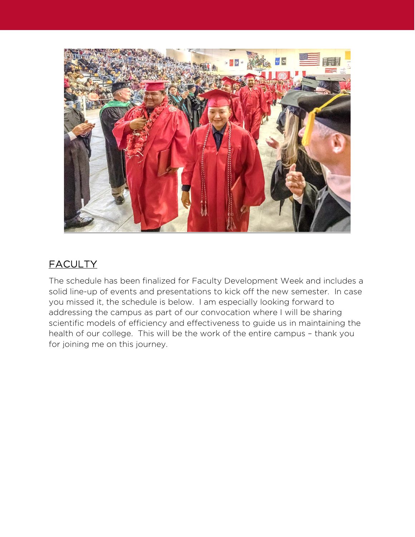

## FACULTY

The schedule has been finalized for Faculty Development Week and includes a solid line-up of events and presentations to kick off the new semester. In case you missed it, the schedule is below. I am especially looking forward to addressing the campus as part of our convocation where I will be sharing scientific models of efficiency and effectiveness to guide us in maintaining the health of our college. This will be the work of the entire campus – thank you for joining me on this journey.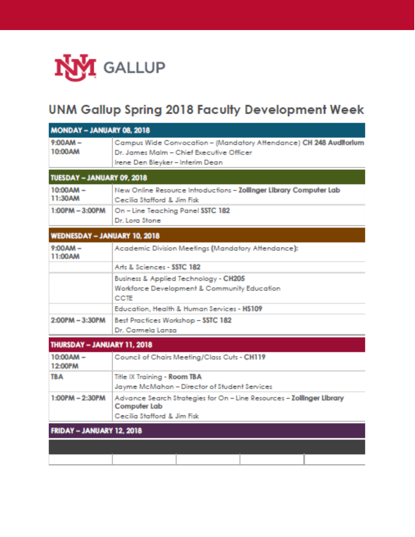

# **UNM Gallup Spring 2018 Faculty Development Week**

| <b>MONDAY - JANUARY 08, 2018</b>                 |                                                                                                                                                    |
|--------------------------------------------------|----------------------------------------------------------------------------------------------------------------------------------------------------|
| - MA00:9<br>10:00AM                              | Campus Wide Convocation - (Mandatory Attendance) CH 248 Auditorium<br>Dr. James Malm - Chief Executive Officer<br>Irene Den Bleyker - Interim Dean |
| TUESDAY - JANUARY 09, 2018                       |                                                                                                                                                    |
| $10:00AM -$<br><b>11:30AM</b><br>1:00PM - 3:00PM | New Online Resource Introductions - Zollinger Library Computer Lab<br>Cecilia Stafford & Jim Fisk<br>On - Line Teaching Panel SSTC 182             |
|                                                  | Dr. Lora Stone                                                                                                                                     |
| <b>WEDNESDAY - JANUARY 10, 2018</b>              |                                                                                                                                                    |
| 9:00AM-<br>11:00AM                               | Academic Division Meetings (Mandatory Attendance):                                                                                                 |
|                                                  | Arts & Sciences - SSTC 182                                                                                                                         |
|                                                  | Business & Applied Technology - CH205<br>Workforce Development & Community Education<br>CCTF                                                       |
|                                                  | Education, Health & Human Services - H\$109                                                                                                        |
| 2:00PM - 3:30PM                                  | Best Practices Workshop - SSTC 182<br>Dr. Carmela Lanza                                                                                            |
| THURSDAY - JANUARY 11, 2018                      |                                                                                                                                                    |
| 10-00AM -<br>12:00PM                             | Council of Chairs Meeting/Class Cuts - CH119                                                                                                       |
| TRA                                              | Title IX Training - Room TBA<br>Jayme McMahon - Director of Student Services                                                                       |
| 1:00PM - 2:30PM                                  | Advance Search Strategies for On - Line Resources - Zollinger Library<br><b>Computer Lab</b><br>Cecilia Stafford & Jim Fisk                        |
| FRIDAY - JANUARY 12, 2018                        |                                                                                                                                                    |
|                                                  |                                                                                                                                                    |